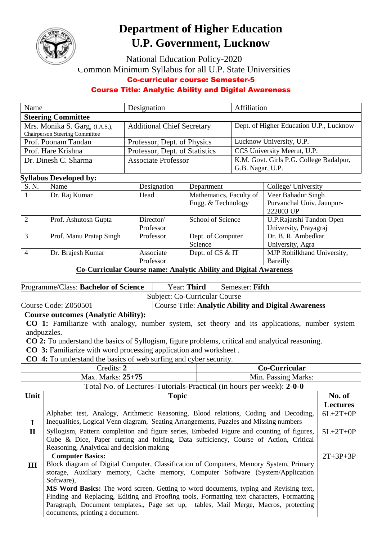

# **Department of Higher Education U.P. Government, Lucknow**

National Education Policy-2020 Common Minimum Syllabus for all U.P. State Universities

#### Co-curricular course: Semester-5

### Course Title: Analytic Ability and Digital Awareness

| Name                                  | Designation                       | Affiliation                             |
|---------------------------------------|-----------------------------------|-----------------------------------------|
| <b>Steering Committee</b>             |                                   |                                         |
| Mrs. Monika S. Garg, (I.A.S.),        | <b>Additional Chief Secretary</b> | Dept. of Higher Education U.P., Lucknow |
| <b>Chairperson Steering Committee</b> |                                   |                                         |
| Prof. Poonam Tandan                   | Professor, Dept. of Physics       | Lucknow University, U.P.                |
| Prof. Hare Krishna                    | Professor, Dept. of Statistics    | CCS University Meerut, U.P.             |
| Dr. Dinesh C. Sharma                  | <b>Associate Professor</b>        | K.M. Govt. Girls P.G. College Badalpur, |
|                                       |                                   | G.B. Nagar, U.P.                        |

## **Syllabus Developed by:**

| S. N.          | Name                    | Designation | Department              | College/ University        |
|----------------|-------------------------|-------------|-------------------------|----------------------------|
|                | Dr. Raj Kumar           | Head        | Mathematics, Faculty of | Veer Bahadur Singh         |
|                |                         |             | Engg. & Technology      | Purvanchal Univ. Jaunpur-  |
|                |                         |             |                         | 222003 UP                  |
| $\overline{2}$ | Prof. Ashutosh Gupta    | Director/   | School of Science       | U.P.Rajarshi Tandon Open   |
|                |                         | Professor   |                         | University, Prayagraj      |
| $\mathcal{R}$  | Prof. Manu Pratap Singh | Professor   | Dept. of Computer       | Dr. B. R. Ambedkar         |
|                |                         |             | Science                 | University, Agra           |
|                | Dr. Brajesh Kumar       | Associate   | Dept. of CS & IT        | MJP Rohilkhand University, |
|                |                         | Professor   |                         | Bareilly                   |

#### **Co-Curricular Course name: Analytic Ability and Digital Awareness**

| <b>CO 1:</b> Familiarize with analogy, number system, set theory and its applications, number system                   |  |  |  |  |
|------------------------------------------------------------------------------------------------------------------------|--|--|--|--|
|                                                                                                                        |  |  |  |  |
| andpuzzles.<br><b>CO 2:</b> To understand the basics of Syllogism, figure problems, critical and analytical reasoning. |  |  |  |  |
|                                                                                                                        |  |  |  |  |
|                                                                                                                        |  |  |  |  |
|                                                                                                                        |  |  |  |  |
|                                                                                                                        |  |  |  |  |
|                                                                                                                        |  |  |  |  |
| No. of                                                                                                                 |  |  |  |  |
| <b>Lectures</b>                                                                                                        |  |  |  |  |
| $6L+2T+0P$                                                                                                             |  |  |  |  |
|                                                                                                                        |  |  |  |  |
| $5L+2T+0P$                                                                                                             |  |  |  |  |
|                                                                                                                        |  |  |  |  |
|                                                                                                                        |  |  |  |  |
| $2T+3P+3P$                                                                                                             |  |  |  |  |
|                                                                                                                        |  |  |  |  |
|                                                                                                                        |  |  |  |  |
|                                                                                                                        |  |  |  |  |
|                                                                                                                        |  |  |  |  |
|                                                                                                                        |  |  |  |  |
|                                                                                                                        |  |  |  |  |
|                                                                                                                        |  |  |  |  |